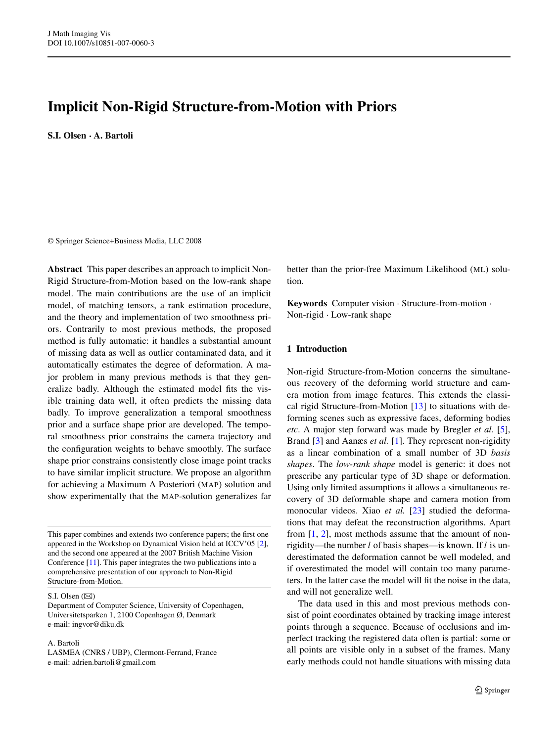# **Implicit Non-Rigid Structure-from-Motion with Priors**

**S.I. Olsen · A. Bartoli**

© Springer Science+Business Media, LLC 2008

**Abstract** This paper describes an approach to implicit Non-Rigid Structure-from-Motion based on the low-rank shape model. The main contributions are the use of an implicit model, of matching tensors, a rank estimation procedure, and the theory and implementation of two smoothness priors. Contrarily to most previous methods, the proposed method is fully automatic: it handles a substantial amount of missing data as well as outlier contaminated data, and it automatically estimates the degree of deformation. A major problem in many previous methods is that they generalize badly. Although the estimated model fits the visible training data well, it often predicts the missing data badly. To improve generalization a temporal smoothness prior and a surface shape prior are developed. The temporal smoothness prior constrains the camera trajectory and the configuration weights to behave smoothly. The surface shape prior constrains consistently close image point tracks to have similar implicit structure. We propose an algorithm for achieving a Maximum A Posteriori (MAP) solution and show experimentally that the MAP-solution generalizes far

This paper combines and extends two conference papers; the first one appeared in the Workshop on Dynamical Vision held at ICCV'05 [[2](#page-10-0)], and the second one appeared at the 2007 British Machine Vision Conference [[11](#page-10-0)]. This paper integrates the two publications into a comprehensive presentation of our approach to Non-Rigid Structure-from-Motion.

S.I. Olsen  $(\boxtimes)$ 

A. Bartoli

LASMEA (CNRS / UBP), Clermont-Ferrand, France e-mail: adrien.bartoli@gmail.com

better than the prior-free Maximum Likelihood (ML) solution.

**Keywords** Computer vision · Structure-from-motion · Non-rigid · Low-rank shape

## **1 Introduction**

Non-rigid Structure-from-Motion concerns the simultaneous recovery of the deforming world structure and camera motion from image features. This extends the classical rigid Structure-from-Motion [\[13](#page-10-0)] to situations with deforming scenes such as expressive faces, deforming bodies *etc*. A major step forward was made by Bregler *et al.* [\[5](#page-10-0)], Brand [\[3](#page-10-0)] and Aanæs *et al.* [[1](#page-10-0)]. They represent non-rigidity as a linear combination of a small number of 3D *basis shapes*. The *low-rank shape* model is generic: it does not prescribe any particular type of 3D shape or deformation. Using only limited assumptions it allows a simultaneous recovery of 3D deformable shape and camera motion from monocular videos. Xiao *et al.* [[23\]](#page-11-0) studied the deformations that may defeat the reconstruction algorithms. Apart from  $[1, 2]$  $[1, 2]$  $[1, 2]$  $[1, 2]$  $[1, 2]$ , most methods assume that the amount of nonrigidity—the number *l* of basis shapes—is known. If *l* is underestimated the deformation cannot be well modeled, and if overestimated the model will contain too many parameters. In the latter case the model will fit the noise in the data, and will not generalize well.

The data used in this and most previous methods consist of point coordinates obtained by tracking image interest points through a sequence. Because of occlusions and imperfect tracking the registered data often is partial: some or all points are visible only in a subset of the frames. Many early methods could not handle situations with missing data

Department of Computer Science, University of Copenhagen, Universitetsparken 1, 2100 Copenhagen Ø, Denmark e-mail: ingvor@diku.dk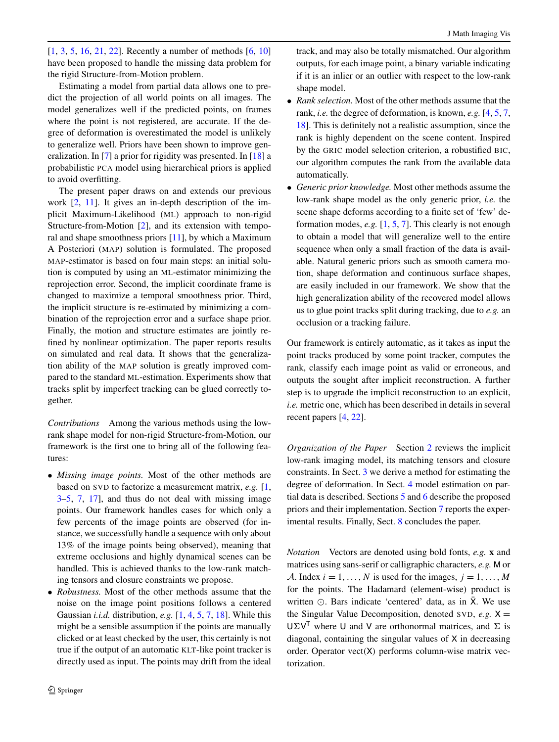[\[1](#page-10-0), [3,](#page-10-0) [5,](#page-10-0) [16](#page-10-0), [21,](#page-11-0) [22](#page-11-0)]. Recently a number of methods [\[6](#page-10-0), [10\]](#page-10-0) have been proposed to handle the missing data problem for the rigid Structure-from-Motion problem.

Estimating a model from partial data allows one to predict the projection of all world points on all images. The model generalizes well if the predicted points, on frames where the point is not registered, are accurate. If the degree of deformation is overestimated the model is unlikely to generalize well. Priors have been shown to improve generalization. In [\[7](#page-10-0)] a prior for rigidity was presented. In [\[18](#page-10-0)] a probabilistic PCA model using hierarchical priors is applied to avoid overfitting.

The present paper draws on and extends our previous work [[2,](#page-10-0) [11\]](#page-10-0). It gives an in-depth description of the implicit Maximum-Likelihood (ML) approach to non-rigid Structure-from-Motion [\[2](#page-10-0)], and its extension with temporal and shape smoothness priors [\[11](#page-10-0)], by which a Maximum A Posteriori (MAP) solution is formulated. The proposed MAP-estimator is based on four main steps: an initial solution is computed by using an ML-estimator minimizing the reprojection error. Second, the implicit coordinate frame is changed to maximize a temporal smoothness prior. Third, the implicit structure is re-estimated by minimizing a combination of the reprojection error and a surface shape prior. Finally, the motion and structure estimates are jointly refined by nonlinear optimization. The paper reports results on simulated and real data. It shows that the generalization ability of the MAP solution is greatly improved compared to the standard ML-estimation. Experiments show that tracks split by imperfect tracking can be glued correctly together.

*Contributions* Among the various methods using the lowrank shape model for non-rigid Structure-from-Motion, our framework is the first one to bring all of the following features:

- *Missing image points.* Most of the other methods are based on SVD to factorize a measurement matrix, *e.g.* [\[1](#page-10-0), [3–5,](#page-10-0) [7,](#page-10-0) [17](#page-10-0)], and thus do not deal with missing image points. Our framework handles cases for which only a few percents of the image points are observed (for instance, we successfully handle a sequence with only about 13% of the image points being observed), meaning that extreme occlusions and highly dynamical scenes can be handled. This is achieved thanks to the low-rank matching tensors and closure constraints we propose.
- *Robustness.* Most of the other methods assume that the noise on the image point positions follows a centered Gaussian *i.i.d.* distribution, *e.g.* [\[1](#page-10-0), [4](#page-10-0), [5](#page-10-0), [7,](#page-10-0) [18\]](#page-10-0). While this might be a sensible assumption if the points are manually clicked or at least checked by the user, this certainly is not true if the output of an automatic KLT-like point tracker is directly used as input. The points may drift from the ideal

track, and may also be totally mismatched. Our algorithm outputs, for each image point, a binary variable indicating if it is an inlier or an outlier with respect to the low-rank shape model.

- *Rank selection.* Most of the other methods assume that the rank, *i.e.* the degree of deformation, is known, *e.g.* [[4,](#page-10-0) [5](#page-10-0), [7](#page-10-0), [18\]](#page-10-0). This is definitely not a realistic assumption, since the rank is highly dependent on the scene content. Inspired by the GRIC model selection criterion, a robustified BIC, our algorithm computes the rank from the available data automatically.
- *Generic prior knowledge.* Most other methods assume the low-rank shape model as the only generic prior, *i.e.* the scene shape deforms according to a finite set of 'few' deformation modes, *e.g.* [\[1](#page-10-0), [5,](#page-10-0) [7\]](#page-10-0). This clearly is not enough to obtain a model that will generalize well to the entire sequence when only a small fraction of the data is available. Natural generic priors such as smooth camera motion, shape deformation and continuous surface shapes, are easily included in our framework. We show that the high generalization ability of the recovered model allows us to glue point tracks split during tracking, due to *e.g.* an occlusion or a tracking failure.

Our framework is entirely automatic, as it takes as input the point tracks produced by some point tracker, computes the rank, classify each image point as valid or erroneous, and outputs the sought after implicit reconstruction. A further step is to upgrade the implicit reconstruction to an explicit, *i.e.* metric one, which has been described in details in several recent papers [\[4](#page-10-0), [22](#page-11-0)].

*Organization of the Paper* Section [2](#page-2-0) reviews the implicit low-rank imaging model, its matching tensors and closure constraints. In Sect. [3](#page-3-0) we derive a method for estimating the degree of deformation. In Sect. [4](#page-4-0) model estimation on partial data is described. Sections [5](#page-5-0) and [6](#page-5-0) describe the proposed priors and their implementation. Section [7](#page-7-0) reports the experimental results. Finally, Sect. [8](#page-9-0) concludes the paper.

*Notation* Vectors are denoted using bold fonts, *e.g.* **x** and matrices using sans-serif or calligraphic characters, *e.g.* M or A. Index  $i = 1, \ldots, N$  is used for the images,  $j = 1, \ldots, M$ for the points. The Hadamard (element-wise) product is written  $\odot$ . Bars indicate 'centered' data, as in  $\bar{X}$ . We use the Singular Value Decomposition, denoted SVD,  $e.g. X =$  $U\Sigma V^{\mathsf{T}}$  where U and V are orthonormal matrices, and  $\Sigma$  is diagonal, containing the singular values of X in decreasing order. Operator vect*(*X*)* performs column-wise matrix vectorization.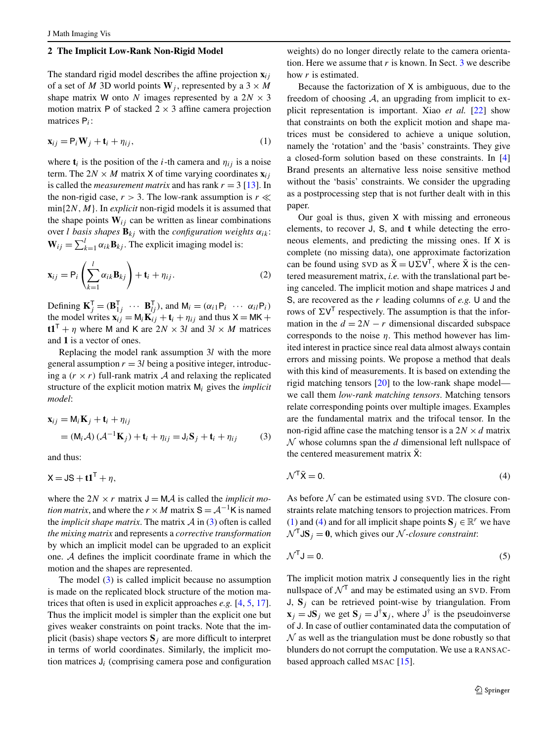## <span id="page-2-0"></span>**2 The Implicit Low-Rank Non-Rigid Model**

The standard rigid model describes the affine projection  $\mathbf{x}_i$ of a set of *M* 3D world points  $W_i$ , represented by a 3  $\times$  *M* shape matrix W onto *N* images represented by a  $2N \times 3$ motion matrix P of stacked  $2 \times 3$  affine camera projection matrices P*i*:

$$
\mathbf{x}_{ij} = \mathbf{P}_i \mathbf{W}_j + \mathbf{t}_i + \eta_{ij},\tag{1}
$$

where  $t_i$  is the position of the *i*-th camera and  $\eta_{ij}$  is a noise term. The 2*N* × *M* matrix **X** of time varying coordinates  $\mathbf{x}_{ij}$ is called the *measurement matrix* and has rank  $r = 3$  [[13\]](#page-10-0). In the non-rigid case,  $r > 3$ . The low-rank assumption is  $r \ll 1$ min{2*N,M*}. In *explicit* non-rigid models it is assumed that the shape points  $W_{ij}$  can be written as linear combinations over *l basis shapes*  $\mathbf{B}_{kj}$  with the *configuration weights*  $\alpha_{ik}$ :  $W_{ij} = \sum_{k=1}^{l} \alpha_{ik} B_{kj}$ . The explicit imaging model is:

$$
\mathbf{x}_{ij} = \mathsf{P}_i \left( \sum_{k=1}^l \alpha_{ik} \mathbf{B}_{kj} \right) + \mathbf{t}_i + \eta_{ij}.
$$
 (2)

Defining  $\mathbf{K}_{j}^{\mathsf{T}} = (\mathbf{B}_{1j}^{\mathsf{T}} \cdots \mathbf{B}_{lj}^{\mathsf{T}})$ , and  $M_{i} = (\alpha_{i1} P_{i} \cdots \alpha_{il} P_{i})$ the model writes  $\mathbf{x}_{ij} = M_i \mathbf{K}_{ij} + \mathbf{t}_i + \eta_{ij}$  and thus  $X = MK +$  $t1^{T} + \eta$  where M and K are  $2N \times 3l$  and  $3l \times M$  matrices and **1** is a vector of ones.

Replacing the model rank assumption 3*l* with the more general assumption  $r = 3l$  being a positive integer, introducing a  $(r \times r)$  full-rank matrix A and relaxing the replicated structure of the explicit motion matrix M*<sup>i</sup>* gives the *implicit model*:

$$
\mathbf{x}_{ij} = \mathsf{M}_i \mathbf{K}_j + \mathbf{t}_i + \eta_{ij}
$$
  
=  $(\mathsf{M}_i \mathcal{A}) (\mathcal{A}^{-1} \mathbf{K}_j) + \mathbf{t}_i + \eta_{ij} = \mathsf{J}_i \mathbf{S}_j + \mathbf{t}_i + \eta_{ij}$  (3)

and thus:

$$
X = JS + t1T + \eta,
$$

where the  $2N \times r$  matrix  $J = M \mathcal{A}$  is called the *implicit motion matrix*, and where the  $r \times M$  matrix  $S = A^{-1}K$  is named the *implicit shape matrix*. The matrix  $\mathcal A$  in (3) often is called *the mixing matrix* and represents a *corrective transformation* by which an implicit model can be upgraded to an explicit one. A defines the implicit coordinate frame in which the motion and the shapes are represented.

The model (3) is called implicit because no assumption is made on the replicated block structure of the motion matrices that often is used in explicit approaches *e.g.* [[4,](#page-10-0) [5](#page-10-0), [17](#page-10-0)]. Thus the implicit model is simpler than the explicit one but gives weaker constraints on point tracks. Note that the implicit (basis) shape vectors  $S_j$  are more difficult to interpret in terms of world coordinates. Similarly, the implicit motion matrices  $J_i$  (comprising camera pose and configuration weights) do no longer directly relate to the camera orientation. Here we assume that *r* is known. In Sect. [3](#page-3-0) we describe how *r* is estimated.

Because the factorization of X is ambiguous, due to the freedom of choosing  $A$ , an upgrading from implicit to explicit representation is important. Xiao *et al.* [\[22\]](#page-11-0) show that constraints on both the explicit motion and shape matrices must be considered to achieve a unique solution, namely the 'rotation' and the 'basis' constraints. They give a closed-form solution based on these constraints. In [[4\]](#page-10-0) Brand presents an alternative less noise sensitive method without the 'basis' constraints. We consider the upgrading as a postprocessing step that is not further dealt with in this paper.

Our goal is thus, given X with missing and erroneous elements, to recover J, S, and **t** while detecting the erroneous elements, and predicting the missing ones. If X is complete (no missing data), one approximate factorization can be found using SVD as  $\bar{X} = U\Sigma V^{T}$ , where  $\bar{X}$  is the centered measurement matrix, *i.e.* with the translational part being canceled. The implicit motion and shape matrices J and S, are recovered as the *r* leading columns of *e.g.* U and the rows of  $\Sigma V^T$  respectively. The assumption is that the information in the  $d = 2N - r$  dimensional discarded subspace corresponds to the noise  $\eta$ . This method however has limited interest in practice since real data almost always contain errors and missing points. We propose a method that deals with this kind of measurements. It is based on extending the rigid matching tensors [\[20](#page-10-0)] to the low-rank shape model we call them *low-rank matching tensors*. Matching tensors relate corresponding points over multiple images. Examples are the fundamental matrix and the trifocal tensor. In the non-rigid affine case the matching tensor is a  $2N \times d$  matrix N whose columns span the *d* dimensional left nullspace of the centered measurement matrix  $\bar{X}$ :

$$
\mathcal{N}^{\mathsf{T}}\bar{\mathsf{X}} = \mathsf{0}.\tag{4}
$$

As before  $N$  can be estimated using SVD. The closure constraints relate matching tensors to projection matrices. From (1) and (4) and for all implicit shape points  $S_i \in \mathbb{R}^r$  we have  $N<sup>T</sup>$ **JS**<sup>*j*</sup> = **0**, which gives our N-*closure constraint*:

$$
\mathcal{N}^{\mathsf{T}}\mathsf{J} = 0. \tag{5}
$$

The implicit motion matrix J consequently lies in the right nullspace of  $N<sup>T</sup>$  and may be estimated using an SVD. From  $J$ ,  $S$ <sup>*j*</sup> can be retrieved point-wise by triangulation. From  $\mathbf{x}_i = \mathbf{J} \mathbf{S}_i$  we get  $\mathbf{S}_i = \mathbf{J}^\dagger \mathbf{x}_i$ , where  $\mathbf{J}^\dagger$  is the pseudoinverse of J. In case of outlier contaminated data the computation of  $\mathcal N$  as well as the triangulation must be done robustly so that blunders do not corrupt the computation. We use a RANSACbased approach called MSAC [\[15](#page-10-0)].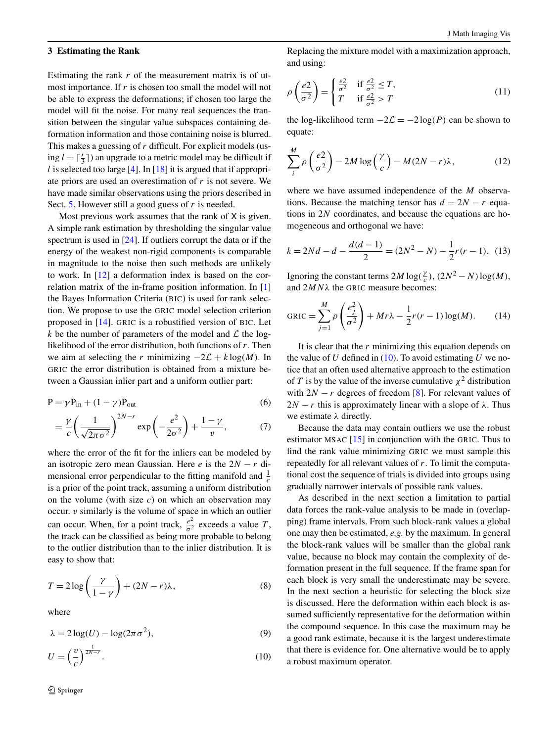#### <span id="page-3-0"></span>**3 Estimating the Rank**

Estimating the rank *r* of the measurement matrix is of utmost importance. If *r* is chosen too small the model will not be able to express the deformations; if chosen too large the model will fit the noise. For many real sequences the transition between the singular value subspaces containing deformation information and those containing noise is blurred. This makes a guessing of *r* difficult. For explicit models (using  $l = \lceil \frac{r}{3} \rceil$  ) an upgrade to a metric model may be difficult if *l* is selected too large [\[4](#page-10-0)]. In [[18\]](#page-10-0) it is argued that if appropriate priors are used an overestimation of *r* is not severe. We have made similar observations using the priors described in Sect. [5.](#page-5-0) However still a good guess of *r* is needed.

Most previous work assumes that the rank of X is given. A simple rank estimation by thresholding the singular value spectrum is used in [\[24](#page-11-0)]. If outliers corrupt the data or if the energy of the weakest non-rigid components is comparable in magnitude to the noise then such methods are unlikely to work. In [\[12\]](#page-10-0) a deformation index is based on the correlation matrix of the in-frame position information. In [[1\]](#page-10-0) the Bayes Information Criteria (BIC) is used for rank selection. We propose to use the GRIC model selection criterion proposed in [[14\]](#page-10-0). GRIC is a robustified version of BIC. Let *k* be the number of parameters of the model and  $\mathcal L$  the loglikelihood of the error distribution, both functions of *r*. Then we aim at selecting the *r* minimizing  $-2\mathcal{L} + k \log(M)$ . In GRIC the error distribution is obtained from a mixture between a Gaussian inlier part and a uniform outlier part:

$$
P = \gamma P_{in} + (1 - \gamma)P_{out}
$$
 (6)

$$
= \frac{\gamma}{c} \left( \frac{1}{\sqrt{2\pi\sigma^2}} \right)^{2N-r} \exp\left( -\frac{e^2}{2\sigma^2} \right) + \frac{1-\gamma}{v},\tag{7}
$$

where the error of the fit for the inliers can be modeled by an isotropic zero mean Gaussian. Here *e* is the 2*N* − *r* dimensional error perpendicular to the fitting manifold and  $\frac{1}{c}$ is a prior of the point track, assuming a uniform distribution on the volume (with size *c*) on which an observation may occur. *v* similarly is the volume of space in which an outlier can occur. When, for a point track,  $\frac{e^2}{\sigma^2}$  exceeds a value *T*, the track can be classified as being more probable to belong to the outlier distribution than to the inlier distribution. It is easy to show that:

$$
T = 2\log\left(\frac{\gamma}{1-\gamma}\right) + (2N-r)\lambda,\tag{8}
$$

where

$$
\lambda = 2\log(U) - \log(2\pi\sigma^2),\tag{9}
$$

$$
U = \left(\frac{v}{c}\right)^{\frac{1}{2N-r}}.\tag{10}
$$

Replacing the mixture model with a maximization approach, and using:

$$
\rho\left(\frac{e2}{\sigma^2}\right) = \begin{cases} \frac{e2}{\sigma^2} & \text{if } \frac{e2}{\sigma^2} \le T, \\ T & \text{if } \frac{e2}{\sigma^2} > T \end{cases}
$$
\n(11)

the log-likelihood term  $-2\mathcal{L} = -2\log(P)$  can be shown to equate:

$$
\sum_{i}^{M} \rho \left(\frac{e2}{\sigma^2}\right) - 2M \log \left(\frac{\gamma}{c}\right) - M(2N - r)\lambda, \tag{12}
$$

where we have assumed independence of the *M* observations. Because the matching tensor has  $d = 2N - r$  equations in 2*N* coordinates, and because the equations are homogeneous and orthogonal we have:

$$
k = 2Nd - d - \frac{d(d-1)}{2} = (2N^2 - N) - \frac{1}{2}r(r - 1).
$$
 (13)

Ignoring the constant terms  $2M \log(\frac{\gamma}{c})$ ,  $(2N^2 - N) \log(M)$ , and 2*MNλ* the GRIC measure becomes:

$$
GRIC = \sum_{j=1}^{M} \rho \left(\frac{e_j^2}{\sigma^2}\right) + Mr\lambda - \frac{1}{2}r(r-1)\log(M). \tag{14}
$$

It is clear that the *r* minimizing this equation depends on the value of  $U$  defined in (10). To avoid estimating  $U$  we notice that an often used alternative approach to the estimation of *T* is by the value of the inverse cumulative  $\chi^2$  distribution with  $2N - r$  degrees of freedom [\[8](#page-10-0)]. For relevant values of  $2N - r$  this is approximately linear with a slope of  $λ$ . Thus we estimate *λ* directly.

Because the data may contain outliers we use the robust estimator MSAC [[15\]](#page-10-0) in conjunction with the GRIC. Thus to find the rank value minimizing GRIC we must sample this repeatedly for all relevant values of *r*. To limit the computational cost the sequence of trials is divided into groups using gradually narrower intervals of possible rank values.

As described in the next section a limitation to partial data forces the rank-value analysis to be made in (overlapping) frame intervals. From such block-rank values a global one may then be estimated, *e.g.* by the maximum. In general the block-rank values will be smaller than the global rank value, because no block may contain the complexity of deformation present in the full sequence. If the frame span for each block is very small the underestimate may be severe. In the next section a heuristic for selecting the block size is discussed. Here the deformation within each block is assumed sufficiently representative for the deformation within the compound sequence. In this case the maximum may be a good rank estimate, because it is the largest underestimate that there is evidence for. One alternative would be to apply a robust maximum operator.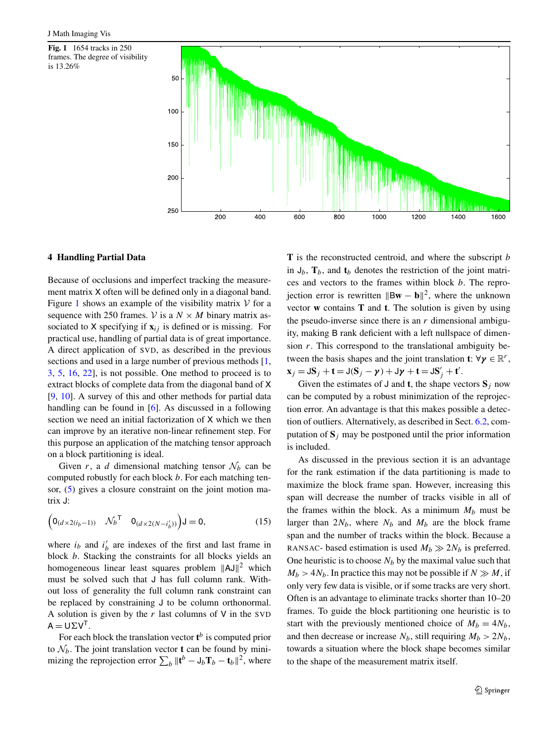<span id="page-4-0"></span>**Fig. 1** 1654 tracks in 250 frames. The degree of visibility is 13.26%



## **4 Handling Partial Data**

Because of occlusions and imperfect tracking the measurement matrix X often will be defined only in a diagonal band. Figure 1 shows an example of the visibility matrix  $V$  for a sequence with 250 frames.  $V$  is a  $N \times M$  binary matrix associated to  $X$  specifying if  $x_{ij}$  is defined or is missing. For practical use, handling of partial data is of great importance. A direct application of SVD, as described in the previous sections and used in a large number of previous methods  $[1, 1]$  $[1, 1]$ [3,](#page-10-0) [5,](#page-10-0) [16](#page-10-0), [22](#page-11-0)], is not possible. One method to proceed is to extract blocks of complete data from the diagonal band of X [\[9](#page-10-0), [10\]](#page-10-0). A survey of this and other methods for partial data handling can be found in [[6\]](#page-10-0). As discussed in a following section we need an initial factorization of X which we then can improve by an iterative non-linear refinement step. For this purpose an application of the matching tensor approach on a block partitioning is ideal.

Given *r*, a *d* dimensional matching tensor  $\mathcal{N}_b$  can be computed robustly for each block *b*. For each matching tensor, ([5\)](#page-2-0) gives a closure constraint on the joint motion matrix J:

$$
\left(\begin{array}{cccccc} \mathbf{0}_{(d \times 2(i_b-1))} & \mathcal{N}_b^{\mathsf{T}} & \mathbf{0}_{(d \times 2(N-i'_b))} \end{array}\right) \mathsf{J} = \mathbf{0},\tag{15}
$$

where  $i_b$  and  $i'_b$  are indexes of the first and last frame in block *b*. Stacking the constraints for all blocks yields an homogeneous linear least squares problem  $\Vert A J \Vert^2$  which must be solved such that J has full column rank. Without loss of generality the full column rank constraint can be replaced by constraining J to be column orthonormal. A solution is given by the *r* last columns of V in the SVD  $A = U\Sigma V^{T}$ .

For each block the translation vector **t** *<sup>b</sup>* is computed prior to  $\mathcal{N}_b$ . The joint translation vector **t** can be found by minimizing the reprojection error  $\sum_b \|\mathbf{t}^b - \mathbf{J}_b \mathbf{T}_b - \mathbf{t}_b\|^2$ , where

**T** is the reconstructed centroid, and where the subscript *b* in  $J_b$ ,  $T_b$ , and  $t_b$  denotes the restriction of the joint matrices and vectors to the frames within block *b*. The reprojection error is rewritten  $||Bw - b||^2$ , where the unknown vector **w** contains **T** and **t**. The solution is given by using the pseudo-inverse since there is an *r* dimensional ambiguity, making B rank deficient with a left nullspace of dimension *r*. This correspond to the translational ambiguity between the basis shapes and the joint translation **t**:  $\forall \gamma \in \mathbb{R}^r$ , **x**<sub>*j*</sub> = JS<sub>*j*</sub> + **t** = J(S<sub>*j*</sub> - *γ*) + J*γ* + **t** = JS<sup>*/*</sup><sub>*j*</sub> + **t**<sup>*'*</sup>.

Given the estimates of J and **t**, the shape vectors  $S_i$  now can be computed by a robust minimization of the reprojection error. An advantage is that this makes possible a detection of outliers. Alternatively, as described in Sect. [6.2,](#page-6-0) computation of  $S_j$  may be postponed until the prior information is included.

As discussed in the previous section it is an advantage for the rank estimation if the data partitioning is made to maximize the block frame span. However, increasing this span will decrease the number of tracks visible in all of the frames within the block. As a minimum  $M_b$  must be larger than  $2N_b$ , where  $N_b$  and  $M_b$  are the block frame span and the number of tracks within the block. Because a RANSAC- based estimation is used  $M_h \gg 2N_b$  is preferred. One heuristic is to choose  $N_b$  by the maximal value such that  $M_b > 4N_b$ . In practice this may not be possible if  $N \gg M$ , if only very few data is visible, or if some tracks are very short. Often is an advantage to eliminate tracks shorter than 10–20 frames. To guide the block partitioning one heuristic is to start with the previously mentioned choice of  $M_b = 4N_b$ , and then decrease or increase  $N_b$ , still requiring  $M_b > 2N_b$ , towards a situation where the block shape becomes similar to the shape of the measurement matrix itself.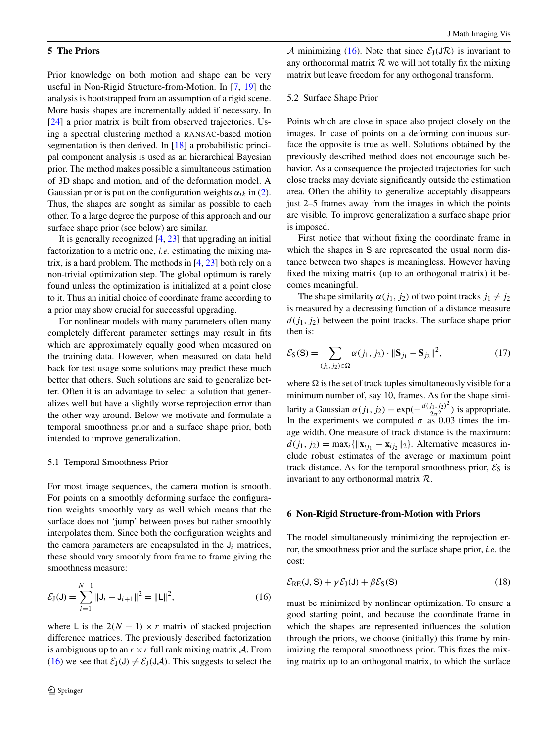#### <span id="page-5-0"></span>**5 The Priors**

Prior knowledge on both motion and shape can be very useful in Non-Rigid Structure-from-Motion. In [\[7,](#page-10-0) [19\]](#page-10-0) the analysis is bootstrapped from an assumption of a rigid scene. More basis shapes are incrementally added if necessary. In [\[24](#page-11-0)] a prior matrix is built from observed trajectories. Using a spectral clustering method a RANSAC-based motion segmentation is then derived. In [[18\]](#page-10-0) a probabilistic principal component analysis is used as an hierarchical Bayesian prior. The method makes possible a simultaneous estimation of 3D shape and motion, and of the deformation model. A Gaussian prior is put on the configuration weights  $\alpha_{ik}$  in [\(2](#page-2-0)). Thus, the shapes are sought as similar as possible to each other. To a large degree the purpose of this approach and our surface shape prior (see below) are similar.

It is generally recognized  $[4, 23]$  $[4, 23]$  $[4, 23]$  $[4, 23]$  $[4, 23]$  that upgrading an initial factorization to a metric one, *i.e.* estimating the mixing matrix, is a hard problem. The methods in [[4,](#page-10-0) [23](#page-11-0)] both rely on a non-trivial optimization step. The global optimum is rarely found unless the optimization is initialized at a point close to it. Thus an initial choice of coordinate frame according to a prior may show crucial for successful upgrading.

For nonlinear models with many parameters often many completely different parameter settings may result in fits which are approximately equally good when measured on the training data. However, when measured on data held back for test usage some solutions may predict these much better that others. Such solutions are said to generalize better. Often it is an advantage to select a solution that generalizes well but have a slightly worse reprojection error than the other way around. Below we motivate and formulate a temporal smoothness prior and a surface shape prior, both intended to improve generalization.

#### 5.1 Temporal Smoothness Prior

For most image sequences, the camera motion is smooth. For points on a smoothly deforming surface the configuration weights smoothly vary as well which means that the surface does not 'jump' between poses but rather smoothly interpolates them. Since both the configuration weights and the camera parameters are encapsulated in the  $J_i$  matrices, these should vary smoothly from frame to frame giving the smoothness measure:

$$
\mathcal{E}_{\mathbf{J}}(\mathbf{J}) = \sum_{i=1}^{N-1} \|\mathbf{J}_i - \mathbf{J}_{i+1}\|^2 = \|\mathbf{L}\|^2,
$$
 (16)

where L is the  $2(N - 1) \times r$  matrix of stacked projection difference matrices. The previously described factorization is ambiguous up to an  $r \times r$  full rank mixing matrix A. From (16) we see that  $\mathcal{E}_J(J) \neq \mathcal{E}_J(J,A)$ . This suggests to select the

A minimizing (16). Note that since  $\mathcal{E}_J(J\mathcal{R})$  is invariant to any orthonormal matrix  $R$  we will not totally fix the mixing matrix but leave freedom for any orthogonal transform.

#### 5.2 Surface Shape Prior

Points which are close in space also project closely on the images. In case of points on a deforming continuous surface the opposite is true as well. Solutions obtained by the previously described method does not encourage such behavior. As a consequence the projected trajectories for such close tracks may deviate significantly outside the estimation area. Often the ability to generalize acceptably disappears just 2–5 frames away from the images in which the points are visible. To improve generalization a surface shape prior is imposed.

First notice that without fixing the coordinate frame in which the shapes in S are represented the usual norm distance between two shapes is meaningless. However having fixed the mixing matrix (up to an orthogonal matrix) it becomes meaningful.

The shape similarity  $\alpha(j_1, j_2)$  of two point tracks  $j_1 \neq j_2$ is measured by a decreasing function of a distance measure  $d(j_1, j_2)$  between the point tracks. The surface shape prior then is:

$$
\mathcal{E}_{S}(S) = \sum_{(j_1, j_2) \in \Omega} \alpha(j_1, j_2) \cdot \|S_{j_1} - S_{j_2}\|^2,
$$
 (17)

where  $\Omega$  is the set of track tuples simultaneously visible for a minimum number of, say 10, frames. As for the shape similarity a Gaussian  $\alpha(j_1, j_2) = \exp(-\frac{d(j_1, j_2)^2}{2\sigma^2})$  is appropriate. In the experiments we computed  $\sigma$  as 0.03 times the image width. One measure of track distance is the maximum:  $d(j_1, j_2) = \max_i \{ ||\mathbf{x}_{ij_1} - \mathbf{x}_{ij_2}||_2 \}$ . Alternative measures include robust estimates of the average or maximum point track distance. As for the temporal smoothness prior,  $\mathcal{E}_S$  is invariant to any orthonormal matrix R.

#### **6 Non-Rigid Structure-from-Motion with Priors**

The model simultaneously minimizing the reprojection error, the smoothness prior and the surface shape prior, *i.e.* the cost:

$$
\mathcal{E}_{RE}(J, S) + \gamma \mathcal{E}_{J}(J) + \beta \mathcal{E}_{S}(S)
$$
\n(18)

must be minimized by nonlinear optimization. To ensure a good starting point, and because the coordinate frame in which the shapes are represented influences the solution through the priors, we choose (initially) this frame by minimizing the temporal smoothness prior. This fixes the mixing matrix up to an orthogonal matrix, to which the surface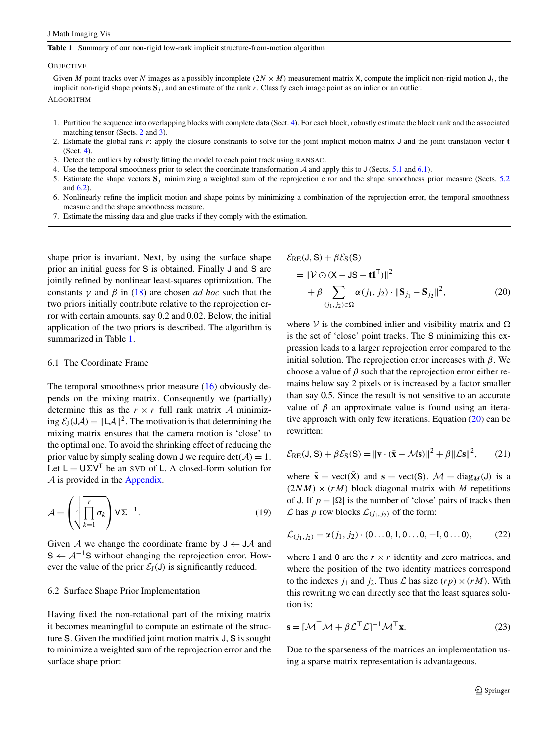<span id="page-6-0"></span>**Table 1** Summary of our non-rigid low-rank implicit structure-from-motion algorithm

#### **OBJECTIVE**

Given *M* point tracks over *N* images as a possibly incomplete  $(2N \times M)$  measurement matrix X, compute the implicit non-rigid motion  $J_i$ , the implicit non-rigid shape points  $S_j$ , and an estimate of the rank r. Classify each image point as an inlier or an outlier.

**ALGORITHM** 

- 1. Partition the sequence into overlapping blocks with complete data (Sect. [4](#page-4-0)). For each block, robustly estimate the block rank and the associated matching tensor (Sects. [2](#page-2-0) and [3\)](#page-3-0).
- 2. Estimate the global rank *r*: apply the closure constraints to solve for the joint implicit motion matrix J and the joint translation vector **t** (Sect. [4](#page-4-0)).
- 3. Detect the outliers by robustly fitting the model to each point track using RANSAC.
- 4. Use the temporal smoothness prior to select the coordinate transformation A and apply this to J (Sects. [5.1](#page-5-0) and 6.1).
- 5. Estimate the shape vectors **S***<sup>j</sup>* minimizing a weighted sum of the reprojection error and the shape smoothness prior measure (Sects. [5.2](#page-5-0) and 6.2).
- 6. Nonlinearly refine the implicit motion and shape points by minimizing a combination of the reprojection error, the temporal smoothness measure and the shape smoothness measure.
- 7. Estimate the missing data and glue tracks if they comply with the estimation.

shape prior is invariant. Next, by using the surface shape prior an initial guess for S is obtained. Finally J and S are jointly refined by nonlinear least-squares optimization. The constants  $\gamma$  and  $\beta$  in (18) are chosen *ad hoc* such that the two priors initially contribute relative to the reprojection error with certain amounts, say 0.2 and 0.02. Below, the initial application of the two priors is described. The algorithm is summarized in Table 1.

#### 6.1 The Coordinate Frame

The temporal smoothness prior measure (16) obviously depends on the mixing matrix. Consequently we (partially) determine this as the  $r \times r$  full rank matrix A minimizing  $\mathcal{E}_J(\mathsf{J}\mathcal{A}) = ||\mathsf{L}\mathcal{A}||^2$ . The motivation is that determining the mixing matrix ensures that the camera motion is 'close' to the optimal one. To avoid the shrinking effect of reducing the prior value by simply scaling down J we require  $det(A) = 1$ . Let  $L = U\Sigma V^{\mathsf{T}}$  be an SVD of L. A closed-form solution for A is provided in the Appendix.

$$
\mathcal{A} = \left(\sqrt{\prod_{k=1}^{r} \sigma_k}\right) \mathsf{V} \Sigma^{-1}.\tag{19}
$$

Given A we change the coordinate frame by  $J \leftarrow J \mathcal{A}$  and  $S \leftarrow A^{-1}S$  without changing the reprojection error. However the value of the prior  $\mathcal{E}_{J}(J)$  is significantly reduced.

#### 6.2 Surface Shape Prior Implementation

Having fixed the non-rotational part of the mixing matrix it becomes meaningful to compute an estimate of the structure S. Given the modified joint motion matrix J, S is sought to minimize a weighted sum of the reprojection error and the surface shape prior:

$$
\mathcal{E}_{RE}(\mathbf{J}, \mathbf{S}) + \beta \mathcal{E}_{S}(\mathbf{S})
$$
  
=  $\|\mathcal{V} \odot (\mathbf{X} - \mathbf{J} \mathbf{S} - \mathbf{t} \mathbf{1}^{\mathsf{T}})\|^2$   
+  $\beta \sum_{(j_1, j_2) \in \Omega} \alpha(j_1, j_2) \cdot \|\mathbf{S}_{j_1} - \mathbf{S}_{j_2}\|^2,$  (20)

where V is the combined inlier and visibility matrix and  $\Omega$ is the set of 'close' point tracks. The S minimizing this expression leads to a larger reprojection error compared to the initial solution. The reprojection error increases with *β*. We choose a value of  $\beta$  such that the reprojection error either remains below say 2 pixels or is increased by a factor smaller than say 0.5. Since the result is not sensitive to an accurate value of  $\beta$  an approximate value is found using an iterative approach with only few iterations. Equation (20) can be rewritten:

$$
\mathcal{E}_{RE}(\mathsf{J}, \mathsf{S}) + \beta \mathcal{E}_{S}(\mathsf{S}) = \|\mathbf{v} \cdot (\bar{\mathbf{x}} - \mathcal{M}\mathbf{s})\|^2 + \beta \|\mathcal{L}\mathbf{s}\|^2, \qquad (21)
$$

where  $\bar{\mathbf{x}} = \text{vect}(\bar{\mathbf{X}})$  and  $\mathbf{s} = \text{vect}(\mathbf{S})$ .  $\mathcal{M} = \text{diag}_{\mathcal{M}}(\mathbf{J})$  is a  $(2NM) \times (rM)$  block diagonal matrix with *M* repetitions of J. If  $p = |\Omega|$  is the number of 'close' pairs of tracks then  $\mathcal L$  has *p* row blocks  $\mathcal L_{(i_1,i_2)}$  of the form:

$$
\mathcal{L}_{(j_1,j_2)} = \alpha(j_1, j_2) \cdot (0 \dots 0, I, 0 \dots 0, -I, 0 \dots 0), \tag{22}
$$

where I and 0 are the  $r \times r$  identity and zero matrices, and where the position of the two identity matrices correspond to the indexes  $j_1$  and  $j_2$ . Thus  $\mathcal L$  has size  $(rp) \times (rM)$ . With this rewriting we can directly see that the least squares solution is:

$$
\mathbf{s} = [\mathcal{M}^\top \mathcal{M} + \beta \mathcal{L}^\top \mathcal{L}]^{-1} \mathcal{M}^\top \mathbf{x}.
$$
 (23)

Due to the sparseness of the matrices an implementation using a sparse matrix representation is advantageous.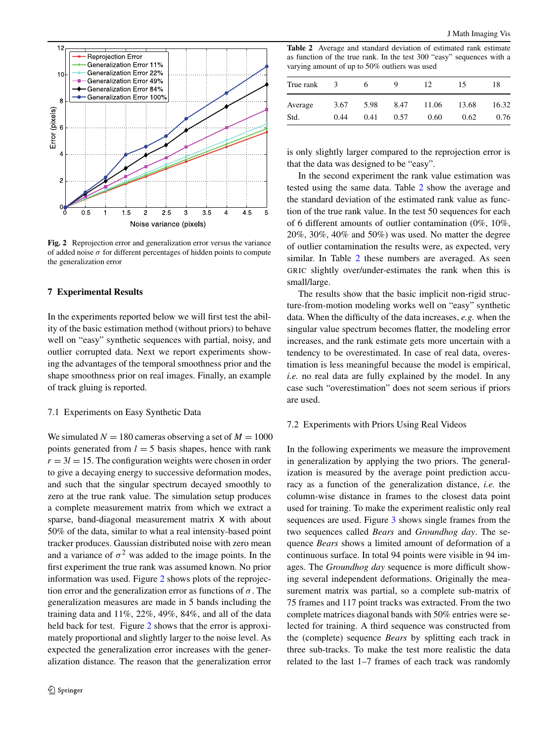<span id="page-7-0"></span>

**Fig. 2** Reprojection error and generalization error versus the variance of added noise  $\sigma$  for different percentages of hidden points to compute the generalization error

## **7 Experimental Results**

In the experiments reported below we will first test the ability of the basic estimation method (without priors) to behave well on "easy" synthetic sequences with partial, noisy, and outlier corrupted data. Next we report experiments showing the advantages of the temporal smoothness prior and the shape smoothness prior on real images. Finally, an example of track gluing is reported.

#### 7.1 Experiments on Easy Synthetic Data

We simulated  $N = 180$  cameras observing a set of  $M = 1000$ points generated from  $l = 5$  basis shapes, hence with rank  $r = 3l = 15$ . The configuration weights were chosen in order to give a decaying energy to successive deformation modes, and such that the singular spectrum decayed smoothly to zero at the true rank value. The simulation setup produces a complete measurement matrix from which we extract a sparse, band-diagonal measurement matrix X with about 50% of the data, similar to what a real intensity-based point tracker produces. Gaussian distributed noise with zero mean and a variance of  $\sigma^2$  was added to the image points. In the first experiment the true rank was assumed known. No prior information was used. Figure 2 shows plots of the reprojection error and the generalization error as functions of *σ* . The generalization measures are made in 5 bands including the training data and 11%, 22%, 49%, 84%, and all of the data held back for test. Figure 2 shows that the error is approximately proportional and slightly larger to the noise level. As expected the generalization error increases with the generalization distance. The reason that the generalization error

Table 2 Average and standard deviation of estimated rank estimate as function of the true rank. In the test 300 "easy" sequences with a varying amount of up to 50% outliers was used

| True rank |      | h    |      | 12    | 15    | 18    |
|-----------|------|------|------|-------|-------|-------|
| Average   | 3.67 | 5.98 | 8.47 | 11.06 | 13.68 | 16.32 |
| Std.      | 0.44 | 0.41 | 0.57 | 0.60  | 0.62  | 0.76  |

is only slightly larger compared to the reprojection error is that the data was designed to be "easy".

In the second experiment the rank value estimation was tested using the same data. Table 2 show the average and the standard deviation of the estimated rank value as function of the true rank value. In the test 50 sequences for each of 6 different amounts of outlier contamination (0%, 10%, 20%, 30%, 40% and 50%) was used. No matter the degree of outlier contamination the results were, as expected, very similar. In Table 2 these numbers are averaged. As seen GRIC slightly over/under-estimates the rank when this is small/large.

The results show that the basic implicit non-rigid structure-from-motion modeling works well on "easy" synthetic data. When the difficulty of the data increases, *e.g.* when the singular value spectrum becomes flatter, the modeling error increases, and the rank estimate gets more uncertain with a tendency to be overestimated. In case of real data, overestimation is less meaningful because the model is empirical, *i.e.* no real data are fully explained by the model. In any case such "overestimation" does not seem serious if priors are used.

#### 7.2 Experiments with Priors Using Real Videos

In the following experiments we measure the improvement in generalization by applying the two priors. The generalization is measured by the average point prediction accuracy as a function of the generalization distance, *i.e.* the column-wise distance in frames to the closest data point used for training. To make the experiment realistic only real sequences are used. Figure [3](#page-8-0) shows single frames from the two sequences called *Bears* and *Groundhog day*. The sequence *Bears* shows a limited amount of deformation of a continuous surface. In total 94 points were visible in 94 images. The *Groundhog day* sequence is more difficult showing several independent deformations. Originally the measurement matrix was partial, so a complete sub-matrix of 75 frames and 117 point tracks was extracted. From the two complete matrices diagonal bands with 50% entries were selected for training. A third sequence was constructed from the (complete) sequence *Bears* by splitting each track in three sub-tracks. To make the test more realistic the data related to the last 1–7 frames of each track was randomly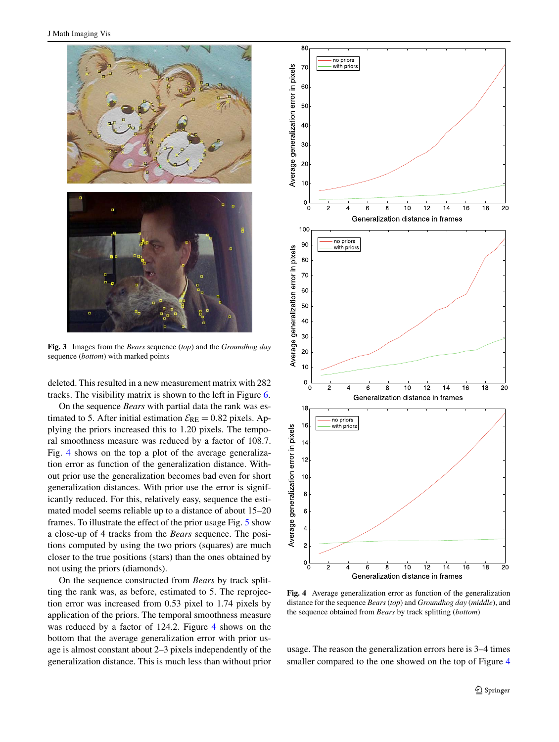<span id="page-8-0"></span>

**Fig. 3** Images from the *Bears* sequence (*top*) and the *Groundhog day* sequence (*bottom*) with marked points

deleted. This resulted in a new measurement matrix with 282 tracks. The visibility matrix is shown to the left in Figure [6.](#page-9-0)

On the sequence *Bears* with partial data the rank was estimated to 5. After initial estimation  $\mathcal{E}_{RE} = 0.82$  pixels. Applying the priors increased this to 1.20 pixels. The temporal smoothness measure was reduced by a factor of 108.7. Fig. 4 shows on the top a plot of the average generalization error as function of the generalization distance. Without prior use the generalization becomes bad even for short generalization distances. With prior use the error is significantly reduced. For this, relatively easy, sequence the estimated model seems reliable up to a distance of about 15–20 frames. To illustrate the effect of the prior usage Fig. [5](#page-9-0) show a close-up of 4 tracks from the *Bears* sequence. The positions computed by using the two priors (squares) are much closer to the true positions (stars) than the ones obtained by not using the priors (diamonds).

On the sequence constructed from *Bears* by track splitting the rank was, as before, estimated to 5. The reprojection error was increased from 0.53 pixel to 1.74 pixels by application of the priors. The temporal smoothness measure was reduced by a factor of 124.2. Figure 4 shows on the bottom that the average generalization error with prior usage is almost constant about 2–3 pixels independently of the generalization distance. This is much less than without prior



**Fig. 4** Average generalization error as function of the generalization distance for the sequence *Bears* (*top*) and *Groundhog day* (*middle*), and the sequence obtained from *Bears* by track splitting (*bottom*)

usage. The reason the generalization errors here is 3–4 times smaller compared to the one showed on the top of Figure 4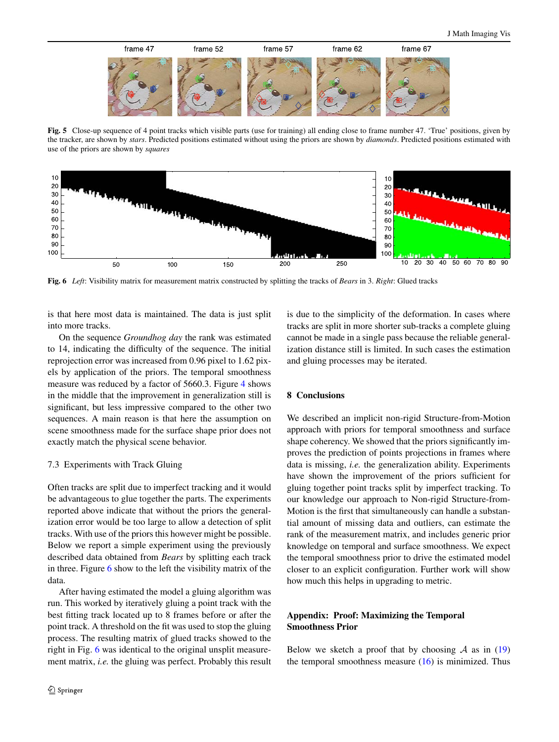<span id="page-9-0"></span>

**Fig. 5** Close-up sequence of 4 point tracks which visible parts (use for training) all ending close to frame number 47. 'True' positions, given by the tracker, are shown by *stars*. Predicted positions estimated without using the priors are shown by *diamonds*. Predicted positions estimated with use of the priors are shown by *squares*



**Fig. 6** *Left*: Visibility matrix for measurement matrix constructed by splitting the tracks of *Bears* in 3. *Right*: Glued tracks

is that here most data is maintained. The data is just split into more tracks.

On the sequence *Groundhog day* the rank was estimated to 14, indicating the difficulty of the sequence. The initial reprojection error was increased from 0.96 pixel to 1.62 pixels by application of the priors. The temporal smoothness measure was reduced by a factor of 5660.3. Figure [4](#page-8-0) shows in the middle that the improvement in generalization still is significant, but less impressive compared to the other two sequences. A main reason is that here the assumption on scene smoothness made for the surface shape prior does not exactly match the physical scene behavior.

## 7.3 Experiments with Track Gluing

Often tracks are split due to imperfect tracking and it would be advantageous to glue together the parts. The experiments reported above indicate that without the priors the generalization error would be too large to allow a detection of split tracks. With use of the priors this however might be possible. Below we report a simple experiment using the previously described data obtained from *Bears* by splitting each track in three. Figure  $6$  show to the left the visibility matrix of the data.

After having estimated the model a gluing algorithm was run. This worked by iteratively gluing a point track with the best fitting track located up to 8 frames before or after the point track. A threshold on the fit was used to stop the gluing process. The resulting matrix of glued tracks showed to the right in Fig. 6 was identical to the original unsplit measurement matrix, *i.e.* the gluing was perfect. Probably this result is due to the simplicity of the deformation. In cases where tracks are split in more shorter sub-tracks a complete gluing cannot be made in a single pass because the reliable generalization distance still is limited. In such cases the estimation and gluing processes may be iterated.

## **8 Conclusions**

We described an implicit non-rigid Structure-from-Motion approach with priors for temporal smoothness and surface shape coherency. We showed that the priors significantly improves the prediction of points projections in frames where data is missing, *i.e.* the generalization ability. Experiments have shown the improvement of the priors sufficient for gluing together point tracks split by imperfect tracking. To our knowledge our approach to Non-rigid Structure-from-Motion is the first that simultaneously can handle a substantial amount of missing data and outliers, can estimate the rank of the measurement matrix, and includes generic prior knowledge on temporal and surface smoothness. We expect the temporal smoothness prior to drive the estimated model closer to an explicit configuration. Further work will show how much this helps in upgrading to metric.

## **Appendix: Proof: Maximizing the Temporal Smoothness Prior**

Below we sketch a proof that by choosing  $\mathcal A$  as in ([19\)](#page-6-0) the temporal smoothness measure  $(16)$  is minimized. Thus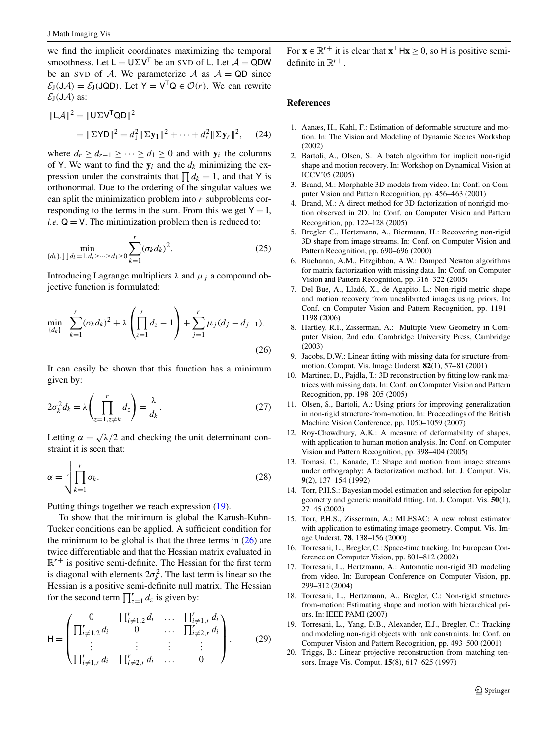<span id="page-10-0"></span>we find the implicit coordinates maximizing the temporal smoothness. Let  $L = U\Sigma V^T$  be an SVD of L. Let  $\mathcal{A} = QDW$ be an SVD of A. We parameterize A as  $A = QD$  since  $\mathcal{E}_J(\mathsf{J}\mathcal{A}) = \mathcal{E}_J(\mathsf{J}\mathsf{Q}\mathsf{D})$ . Let  $\mathsf{Y} = \mathsf{V}^\mathsf{T}\mathsf{Q} \in \mathcal{O}(r)$ . We can rewrite  $\mathcal{E}_J(\mathsf{J}\mathcal{A})$  as:

$$
\|\mathbf{L}\mathcal{A}\|^2 = \|\mathbf{U}\Sigma\mathbf{V}^\mathsf{T}\mathbf{Q}\mathbf{D}\|^2
$$
  
=  $\|\Sigma\mathbf{Y}\mathbf{D}\|^2 = d_1^2 \|\Sigma\mathbf{y}_1\|^2 + \dots + d_r^2 \|\Sigma\mathbf{y}_r\|^2$ , (24)

where  $d_r \geq d_{r-1} \geq \cdots \geq d_1 \geq 0$  and with  $y_i$  the columns of Y. We want to find the  $y_i$  and the  $d_k$  minimizing the expression under the constraints that  $\prod d_k = 1$ , and that Y is orthonormal. Due to the ordering of the singular values we can split the minimization problem into *r* subproblems corresponding to the terms in the sum. From this we get  $Y = I$ , *i.e.*  $Q = V$ . The minimization problem then is reduced to:

$$
\min_{\{d_k\}, \prod d_k = 1, d_r \ge \dots \ge d_1 \ge 0} \sum_{k=1}^r (\sigma_k d_k)^2.
$$
 (25)

Introducing Lagrange multipliers  $\lambda$  and  $\mu_i$  a compound objective function is formulated:

$$
\min_{\{d_k\}} \sum_{k=1}^r (\sigma_k d_k)^2 + \lambda \left( \prod_{z=1}^r d_z - 1 \right) + \sum_{j=1}^r \mu_j (d_j - d_{j-1}).
$$
\n(26)

It can easily be shown that this function has a minimum given by:

$$
2\sigma_k^2 d_k = \lambda \left( \prod_{z=1, z \neq k}^r d_z \right) = \frac{\lambda}{d_k}.
$$
 (27)

Letting  $\alpha = \sqrt{\lambda/2}$  and checking the unit determinant constraint it is seen that:

$$
\alpha = \sqrt{\prod_{k=1}^{r} \sigma_k}.
$$
\n(28)

Putting things together we reach expression ([19](#page-6-0)).

To show that the minimum is global the Karush-Kuhn-Tucker conditions can be applied. A sufficient condition for the minimum to be global is that the three terms in  $(26)$  are twice differentiable and that the Hessian matrix evaluated in  $\mathbb{R}^{r+}$  is positive semi-definite. The Hessian for the first term is diagonal with elements  $2\sigma_k^2$ . The last term is linear so the Hessian is a positive semi-definite null matrix. The Hessian for the second term  $\prod_{z=1}^{r} d_z$  is given by:

$$
\mathsf{H} = \begin{pmatrix} 0 & \prod_{i \neq 1,2}^{r} d_i & \cdots & \prod_{i \neq 1,r}^{r} d_i \\ \prod_{i \neq 1,2}^{r} d_i & 0 & \cdots & \prod_{i \neq 2,r}^{r} d_i \\ \vdots & \vdots & \vdots & \vdots \\ \prod_{i \neq 1,r}^{r} d_i & \prod_{i \neq 2,r}^{r} d_i & \cdots & 0 \end{pmatrix} . \tag{29}
$$

For  $\mathbf{x} \in \mathbb{R}^{r+1}$  it is clear that  $\mathbf{x}^\top \mathbf{H} \mathbf{x} \geq 0$ , so H is positive semidefinite in R*r*+.

#### **References**

- 1. Aanæs, H., Kahl, F.: Estimation of deformable structure and motion. In: The Vision and Modeling of Dynamic Scenes Workshop (2002)
- 2. Bartoli, A., Olsen, S.: A batch algorithm for implicit non-rigid shape and motion recovery. In: Workshop on Dynamical Vision at ICCV'05 (2005)
- 3. Brand, M.: Morphable 3D models from video. In: Conf. on Computer Vision and Pattern Recognition, pp. 456–463 (2001)
- 4. Brand, M.: A direct method for 3D factorization of nonrigid motion observed in 2D. In: Conf. on Computer Vision and Pattern Recognition, pp. 122–128 (2005)
- 5. Bregler, C., Hertzmann, A., Biermann, H.: Recovering non-rigid 3D shape from image streams. In: Conf. on Computer Vision and Pattern Recognition, pp. 690–696 (2000)
- 6. Buchanan, A.M., Fitzgibbon, A.W.: Damped Newton algorithms for matrix factorization with missing data. In: Conf. on Computer Vision and Pattern Recognition, pp. 316–322 (2005)
- 7. Del Bue, A., Lladó, X., de Agapito, L.: Non-rigid metric shape and motion recovery from uncalibrated images using priors. In: Conf. on Computer Vision and Pattern Recognition, pp. 1191– 1198 (2006)
- 8. Hartley, R.I., Zisserman, A.: Multiple View Geometry in Computer Vision, 2nd edn. Cambridge University Press, Cambridge (2003)
- 9. Jacobs, D.W.: Linear fitting with missing data for structure-frommotion. Comput. Vis. Image Underst. **82**(1), 57–81 (2001)
- 10. Martinec, D., Pajdla, T.: 3D reconstruction by fitting low-rank matrices with missing data. In: Conf. on Computer Vision and Pattern Recognition, pp. 198–205 (2005)
- 11. Olsen, S., Bartoli, A.: Using priors for improving generalization in non-rigid structure-from-motion. In: Proceedings of the British Machine Vision Conference, pp. 1050–1059 (2007)
- 12. Roy-Chowdhury, A.K.: A measure of deformability of shapes, with application to human motion analysis. In: Conf. on Computer Vision and Pattern Recognition, pp. 398–404 (2005)
- 13. Tomasi, C., Kanade, T.: Shape and motion from image streams under orthography: A factorization method. Int. J. Comput. Vis. **9**(2), 137–154 (1992)
- 14. Torr, P.H.S.: Bayesian model estimation and selection for epipolar geometry and generic manifold fitting. Int. J. Comput. Vis. **50**(1), 27–45 (2002)
- 15. Torr, P.H.S., Zisserman, A.: MLESAC: A new robust estimator with application to estimating image geometry. Comput. Vis. Image Underst. **78**, 138–156 (2000)
- 16. Torresani, L., Bregler, C.: Space-time tracking. In: European Conference on Computer Vision, pp. 801–812 (2002)
- 17. Torresani, L., Hertzmann, A.: Automatic non-rigid 3D modeling from video. In: European Conference on Computer Vision, pp. 299–312 (2004)
- 18. Torresani, L., Hertzmann, A., Bregler, C.: Non-rigid structurefrom-motion: Estimating shape and motion with hierarchical priors. In: IEEE PAMI (2007)
- 19. Torresani, L., Yang, D.B., Alexander, E.J., Bregler, C.: Tracking and modeling non-rigid objects with rank constraints. In: Conf. on Computer Vision and Pattern Recognition, pp. 493–500 (2001)
- 20. Triggs, B.: Linear projective reconstruction from matching tensors. Image Vis. Comput. **15**(8), 617–625 (1997)